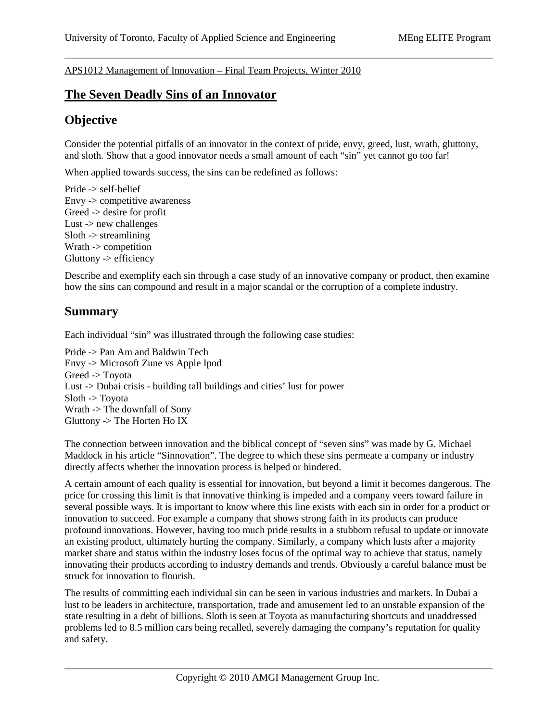APS1012 Management of Innovation – Final Team Projects, Winter 2010

## **The Seven Deadly Sins of an Innovator**

## **Objective**

Consider the potential pitfalls of an innovator in the context of pride, envy, greed, lust, wrath, gluttony, and sloth. Show that a good innovator needs a small amount of each "sin" yet cannot go too far!

When applied towards success, the sins can be redefined as follows:

Pride -> self-belief Envy -> competitive awareness Greed -> desire for profit Lust  $\rightarrow$  new challenges  $S$ loth  $\rightarrow$  streamlining Wrath -> competition Gluttony -> efficiency

Describe and exemplify each sin through a case study of an innovative company or product, then examine how the sins can compound and result in a major scandal or the corruption of a complete industry.

## **Summary**

Each individual "sin" was illustrated through the following case studies:

Pride -> Pan Am and Baldwin Tech Envy -> Microsoft Zune vs Apple Ipod Greed -> Toyota Lust -> Dubai crisis - building tall buildings and cities' lust for power  $S$ loth  $\rightarrow$  Toyota Wrath -> The downfall of Sony Gluttony -> The Horten Ho IX

The connection between innovation and the biblical concept of "seven sins" was made by G. Michael Maddock in his article "Sinnovation". The degree to which these sins permeate a company or industry directly affects whether the innovation process is helped or hindered.

A certain amount of each quality is essential for innovation, but beyond a limit it becomes dangerous. The price for crossing this limit is that innovative thinking is impeded and a company veers toward failure in several possible ways. It is important to know where this line exists with each sin in order for a product or innovation to succeed. For example a company that shows strong faith in its products can produce profound innovations. However, having too much pride results in a stubborn refusal to update or innovate an existing product, ultimately hurting the company. Similarly, a company which lusts after a majority market share and status within the industry loses focus of the optimal way to achieve that status, namely innovating their products according to industry demands and trends. Obviously a careful balance must be struck for innovation to flourish.

The results of committing each individual sin can be seen in various industries and markets. In Dubai a lust to be leaders in architecture, transportation, trade and amusement led to an unstable expansion of the state resulting in a debt of billions. Sloth is seen at Toyota as manufacturing shortcuts and unaddressed problems led to 8.5 million cars being recalled, severely damaging the company's reputation for quality and safety.